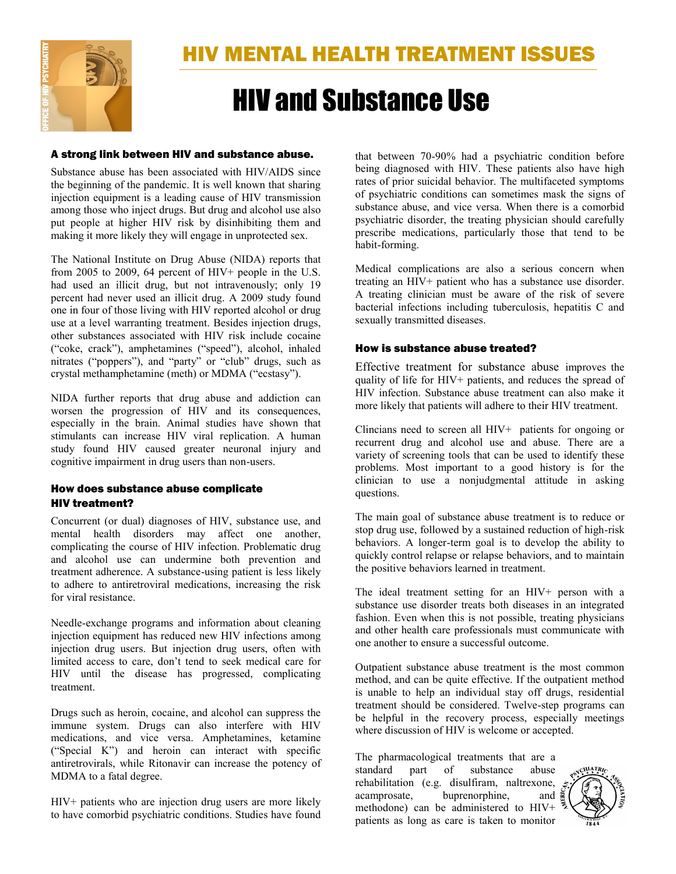

# HIV and Substance Use

### A strong link between HIV and substance abuse.

Substance abuse has been associated with HIV/AIDS since the beginning of the pandemic. It is well known that sharing injection equipment is a leading cause of HIV transmission among those who inject drugs. But drug and alcohol use also put people at higher HIV risk by disinhibiting them and making it more likely they will engage in unprotected sex.

The National Institute on Drug Abuse (NIDA) reports that from 2005 to 2009, 64 percent of HIV+ people in the U.S. had used an illicit drug, but not intravenously; only 19 percent had never used an illicit drug. A 2009 study found one in four of those living with HIV reported alcohol or drug use at a level warranting treatment. Besides injection drugs, other substances associated with HIV risk include cocaine ("coke, crack"), amphetamines ("speed"), alcohol, inhaled nitrates ("poppers"), and "party" or "club" drugs, such as crystal methamphetamine (meth) or MDMA ("ecstasy").

NIDA further reports that drug abuse and addiction can worsen the progression of HIV and its consequences, especially in the brain. Animal studies have shown that stimulants can increase HIV viral replication. A human study found HIV caused greater neuronal injury and cognitive impairment in drug users than non-users.

# How does substance abuse complicate HIV treatment?

Concurrent (or dual) diagnoses of HIV, substance use, and mental health disorders may affect one another, complicating the course of HIV infection. Problematic drug and alcohol use can undermine both prevention and treatment adherence. A substance-using patient is less likely to adhere to antiretroviral medications, increasing the risk for viral resistance.

Needle-exchange programs and information about cleaning injection equipment has reduced new HIV infections among injection drug users. But injection drug users, often with limited access to care, don't tend to seek medical care for HIV until the disease has progressed, complicating treatment.

Drugs such as heroin, cocaine, and alcohol can suppress the immune system. Drugs can also interfere with HIV medications, and vice versa. Amphetamines, ketamine ("Special K") and heroin can interact with specific antiretrovirals, while Ritonavir can increase the potency of MDMA to a fatal degree.

HIV+ patients who are injection drug users are more likely to have comorbid psychiatric conditions. Studies have found

that between 70-90% had a psychiatric condition before being diagnosed with HIV. These patients also have high rates of prior suicidal behavior. The multifaceted symptoms of psychiatric conditions can sometimes mask the signs of substance abuse, and vice versa. When there is a comorbid psychiatric disorder, the treating physician should carefully prescribe medications, particularly those that tend to be habit-forming.

Medical complications are also a serious concern when treating an HIV+ patient who has a substance use disorder. A treating clinician must be aware of the risk of severe bacterial infections including tuberculosis, hepatitis C and sexually transmitted diseases.

# How is substance abuse treated?

Effective treatment for substance abuse improves the quality of life for HIV+ patients, and reduces the spread of HIV infection. Substance abuse treatment can also make it more likely that patients will adhere to their HIV treatment.

Clincians need to screen all HIV+ patients for ongoing or recurrent drug and alcohol use and abuse. There are a variety of screening tools that can be used to identify these problems. Most important to a good history is for the clinician to use a nonjudgmental attitude in asking questions.

The main goal of substance abuse treatment is to reduce or stop drug use, followed by a sustained reduction of high-risk behaviors. A longer-term goal is to develop the ability to quickly control relapse or relapse behaviors, and to maintain the positive behaviors learned in treatment.

The ideal treatment setting for an HIV+ person with a substance use disorder treats both diseases in an integrated fashion. Even when this is not possible, treating physicians and other health care professionals must communicate with one another to ensure a successful outcome.

Outpatient substance abuse treatment is the most common method, and can be quite effective. If the outpatient method is unable to help an individual stay off drugs, residential treatment should be considered. Twelve-step programs can be helpful in the recovery process, especially meetings where discussion of HIV is welcome or accepted.

The pharmacological treatments that are a standard part of substance abuse rehabilitation (e.g. disulfiram, naltrexone, acamprosate, buprenorphine, and methodone) can be administered to HIV+ patients as long as care is taken to monitor